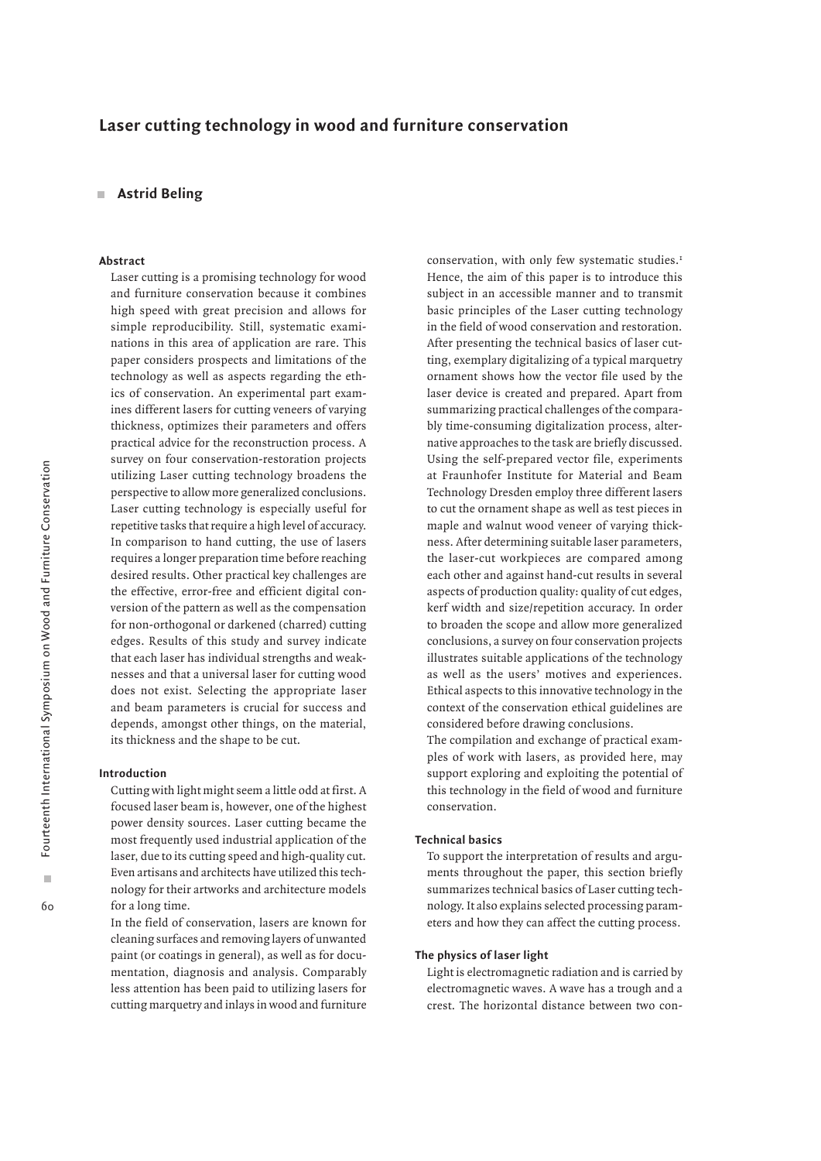# **Laser cutting technology in wood and furniture conservation**

# **Astrid Beling**

### **Abstract**

Laser cutting is a promising technology for wood and furniture conservation because it combines high speed with great precision and allows for simple reproducibility. Still, systematic examinations in this area of application are rare. This paper considers prospects and limitations of the technology as well as aspects regarding the ethics of conservation. An experimental part examines different lasers for cutting veneers of varying thickness, optimizes their parameters and offers practical advice for the reconstruction process. A survey on four conservation-restoration projects utilizing Laser cutting technology broadens the perspective to allow more generalized conclusions. Laser cutting technology is especially useful for repetitive tasks that require a high level of accuracy. In comparison to hand cutting, the use of lasers requires a longer preparation time before reaching desired results. Other practical key challenges are the effective, error-free and efficient digital conversion of the pattern as well as the compensation for non-orthogonal or darkened (charred) cutting edges. Results of this study and survey indicate that each laser has individual strengths and weaknesses and that a universal laser for cutting wood does not exist. Selecting the appropriate laser and beam parameters is crucial for success and depends, amongst other things, on the material, its thickness and the shape to be cut.

#### **Introduction**

Cutting with light might seem a little odd at first. A focused laser beam is, however, one of the highest power density sources. Laser cutting became the most frequently used industrial application of the laser, due to its cutting speed and high-quality cut. Even artisans and architects have utilized this technology for their artworks and architecture models for a long time.

In the field of conservation, lasers are known for cleaning surfaces and removing layers of unwanted paint (or coatings in general), as well as for documentation, diagnosis and analysis. Comparably less attention has been paid to utilizing lasers for cutting marquetry and inlays in wood and furniture conservation, with only few systematic studies.<sup>1</sup> Hence, the aim of this paper is to introduce this subject in an accessible manner and to transmit basic principles of the Laser cutting technology in the field of wood conservation and restoration. After presenting the technical basics of laser cutting, exemplary digitalizing of a typical marquetry ornament shows how the vector file used by the laser device is created and prepared. Apart from summarizing practical challenges of the comparably time-consuming digitalization process, alternative approaches to the task are briefly discussed. Using the self-prepared vector file, experiments at Fraunhofer Institute for Material and Beam Technology Dresden employ three different lasers to cut the ornament shape as well as test pieces in maple and walnut wood veneer of varying thickness. After determining suitable laser parameters, the laser-cut workpieces are compared among each other and against hand-cut results in several aspects of production quality: quality of cut edges, kerf width and size/repetition accuracy. In order to broaden the scope and allow more generalized conclusions, a survey on four conservation projects illustrates suitable applications of the technology as well as the users' motives and experiences. Ethical aspects to this innovative technology in the context of the conservation ethical guidelines are considered before drawing conclusions.

The compilation and exchange of practical examples of work with lasers, as provided here, may support exploring and exploiting the potential of this technology in the field of wood and furniture conservation.

#### **Technical basics**

To support the interpretation of results and arguments throughout the paper, this section briefly summarizes technical basics of Laser cutting technology. It also explains selected processing parameters and how they can affect the cutting process.

### **The physics of laser light**

Light is electromagnetic radiation and is carried by electromagnetic waves. A wave has a trough and a crest. The horizontal distance between two con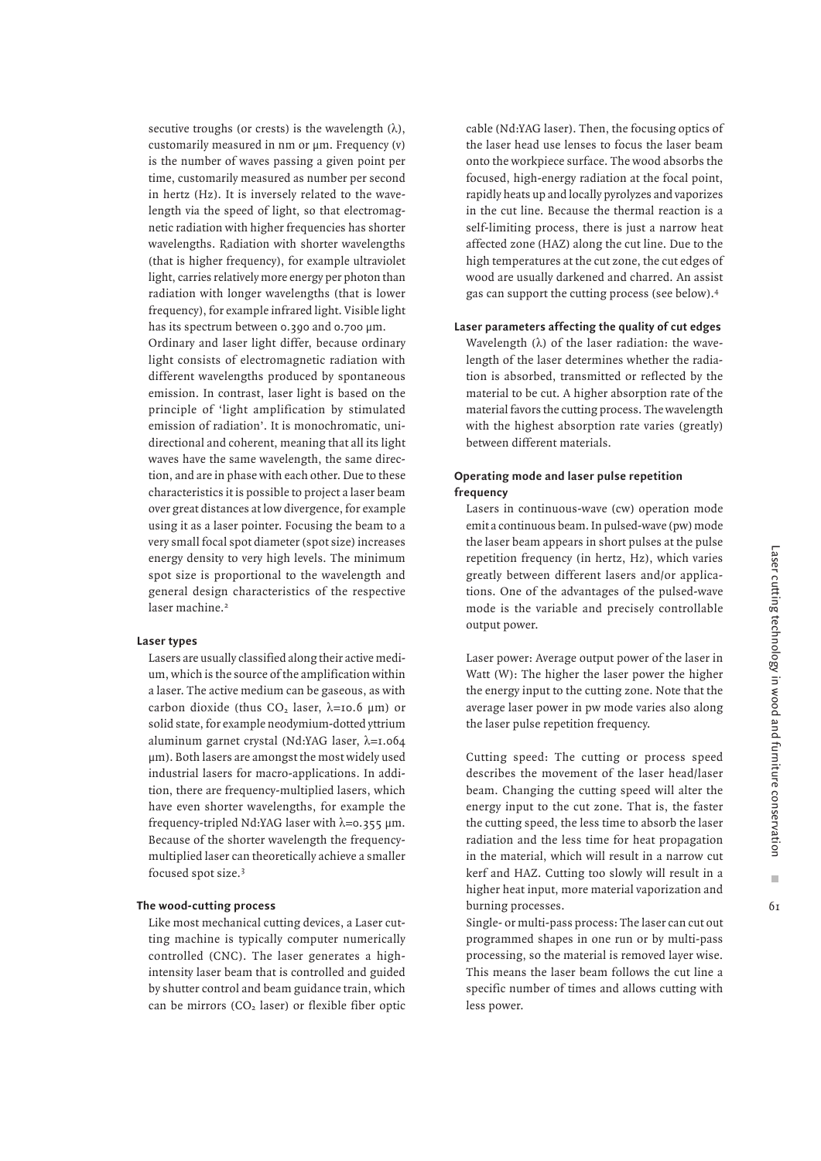secutive troughs (or crests) is the wavelength  $(\lambda)$ , customarily measured in nm or  $\mu$ m. Frequency (v) is the number of waves passing a given point per time, customarily measured as number per second in hertz (Hz). It is inversely related to the wavelength via the speed of light, so that electromagnetic radiation with higher frequencies has shorter wavelengths. Radiation with shorter wavelengths (that is higher frequency), for example ultraviolet light, carries relatively more energy per photon than radiation with longer wavelengths (that is lower frequency), for example infrared light. Visible light has its spectrum between 0.390 and 0.700 µm.

Ordinary and laser light differ, because ordinary light consists of electromagnetic radiation with different wavelengths produced by spontaneous emission. In contrast, laser light is based on the principle of 'light amplification by stimulated emission of radiation'. It is monochromatic, unidirectional and coherent, meaning that all its light waves have the same wavelength, the same direction, and are in phase with each other. Due to these characteristics it is possible to project a laser beam over great distances at low divergence, for example using it as a laser pointer. Focusing the beam to a very small focal spot diameter (spot size) increases energy density to very high levels. The minimum spot size is proportional to the wavelength and general design characteristics of the respective laser machine.<sup>2</sup>

### **Laser types**

Lasers are usually classified along their active medium, which is the source of the amplification within a laser. The active medium can be gaseous, as with carbon dioxide (thus  $CO<sub>2</sub>$  laser,  $\lambda$ =10.6 µm) or solid state, for example neodymium-dotted yttrium aluminum garnet crystal (Nd:YAG laser, λ=1.064 µm). Both lasers are amongst the most widely used industrial lasers for macro-applications. In addition, there are frequency-multiplied lasers, which have even shorter wavelengths, for example the frequency-tripled Nd:YAG laser with  $\lambda = 0.355 \mu m$ . Because of the shorter wavelength the frequencymultiplied laser can theoretically achieve a smaller focused spot size.3

# **The wood-cutting process**

Like most mechanical cutting devices, a Laser cutting machine is typically computer numerically controlled (CNC). The laser generates a highintensity laser beam that is controlled and guided by shutter control and beam guidance train, which can be mirrors (CO<sub>2</sub> laser) or flexible fiber optic cable (Nd:YAG laser). Then, the focusing optics of the laser head use lenses to focus the laser beam onto the workpiece surface. The wood absorbs the focused, high-energy radiation at the focal point, rapidly heats up and locally pyrolyzes and vaporizes in the cut line. Because the thermal reaction is a self-limiting process, there is just a narrow heat affected zone (HAZ) along the cut line. Due to the high temperatures at the cut zone, the cut edges of wood are usually darkened and charred. An assist gas can support the cutting process (see below).4

# **Laser parameters affecting the quality of cut edges**

Wavelength  $(\lambda)$  of the laser radiation: the wavelength of the laser determines whether the radiation is absorbed, transmitted or reflected by the material to be cut. A higher absorption rate of the material favors the cutting process. The wavelength with the highest absorption rate varies (greatly) between different materials.

# **Operating mode and laser pulse repetition frequency**

Lasers in continuous-wave (cw) operation mode emit a continuous beam. In pulsed-wave (pw) mode the laser beam appears in short pulses at the pulse repetition frequency (in hertz, Hz), which varies greatly between different lasers and/or applications. One of the advantages of the pulsed-wave mode is the variable and precisely controllable output power.

Laser power: Average output power of the laser in Watt (W): The higher the laser power the higher the energy input to the cutting zone. Note that the average laser power in pw mode varies also along the laser pulse repetition frequency.

Cutting speed: The cutting or process speed describes the movement of the laser head/laser beam. Changing the cutting speed will alter the energy input to the cut zone. That is, the faster the cutting speed, the less time to absorb the laser radiation and the less time for heat propagation in the material, which will result in a narrow cut kerf and HAZ. Cutting too slowly will result in a higher heat input, more material vaporization and burning processes.

Single- or multi-pass process: The laser can cut out programmed shapes in one run or by multi-pass processing, so the material is removed layer wise. This means the laser beam follows the cut line a specific number of times and allows cutting with less power.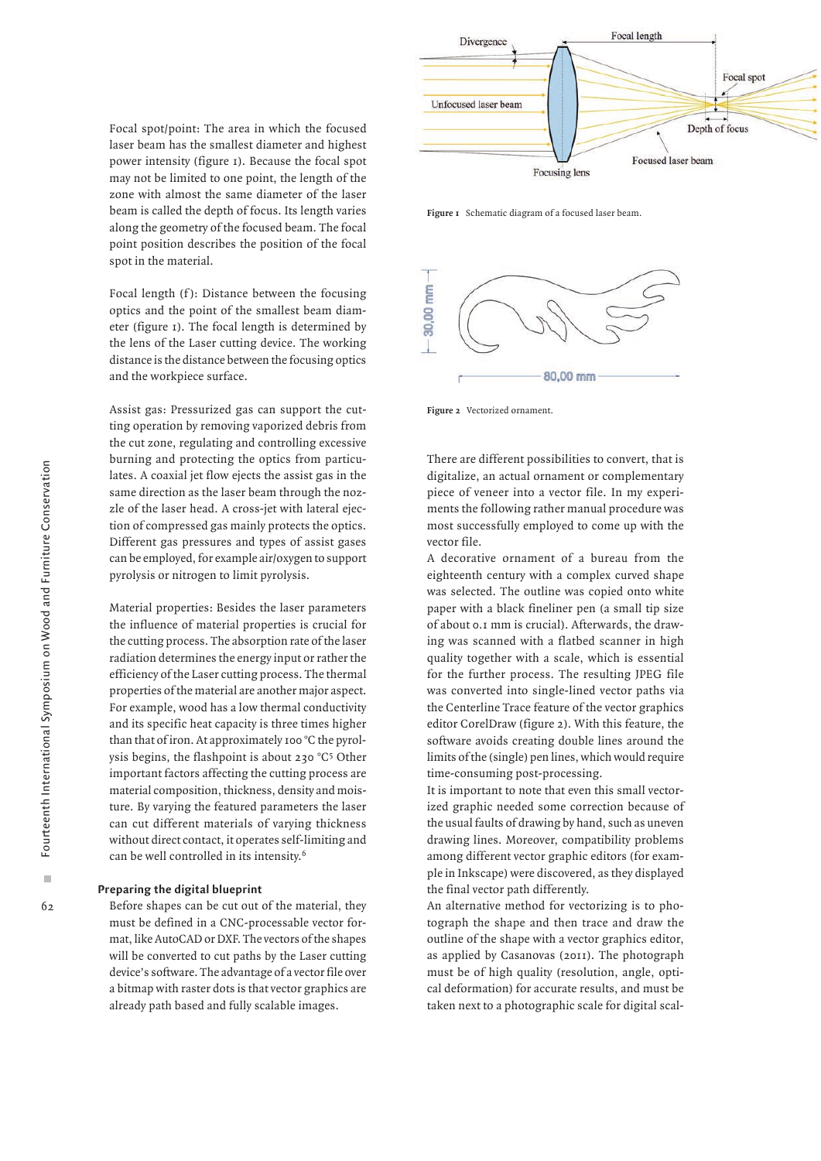Ì.  $6<sub>2</sub>$  Focal spot/point: The area in which the focused laser beam has the smallest diameter and highest power intensity (figure 1). Because the focal spot may not be limited to one point, the length of the zone with almost the same diameter of the laser beam is called the depth of focus. Its length varies along the geometry of the focused beam. The focal point position describes the position of the focal spot in the material.

Focal length (f): Distance between the focusing optics and the point of the smallest beam diameter (figure 1). The focal length is determined by the lens of the Laser cutting device. The working distance is the distance between the focusing optics and the workpiece surface.

Assist gas: Pressurized gas can support the cutting operation by removing vaporized debris from the cut zone, regulating and controlling excessive burning and protecting the optics from particulates. A coaxial jet flow ejects the assist gas in the same direction as the laser beam through the nozzle of the laser head. A cross-jet with lateral ejection of compressed gas mainly protects the optics. Different gas pressures and types of assist gases can be employed, for example air/oxygen to support pyrolysis or nitrogen to limit pyrolysis.

Material properties: Besides the laser parameters the influence of material properties is crucial for the cutting process. The absorption rate of the laser radiation determines the energy input or rather the efficiency of the Laser cutting process. The thermal properties of the material are another major aspect. For example, wood has a low thermal conductivity and its specific heat capacity is three times higher than that of iron. At approximately 100 °C the pyrolysis begins, the flashpoint is about 230 °C5 Other important factors affecting the cutting process are material composition, thickness, density and moisture. By varying the featured parameters the laser can cut different materials of varying thickness without direct contact, it operates self-limiting and can be well controlled in its intensity.6

#### **Preparing the digital blueprint**

Before shapes can be cut out of the material, they must be defined in a CNC-processable vector format, like AutoCAD or DXF. The vectors of the shapes will be converted to cut paths by the Laser cutting device's software. The advantage of a vector file over a bitmap with raster dots is that vector graphics are already path based and fully scalable images.



**Figure 1** Schematic diagram of a focused laser beam.



**Figure 2** Vectorized ornament.

There are different possibilities to convert, that is digitalize, an actual ornament or complementary piece of veneer into a vector file. In my experiments the following rather manual procedure was most successfully employed to come up with the vector file.

A decorative ornament of a bureau from the eighteenth century with a complex curved shape was selected. The outline was copied onto white paper with a black fineliner pen (a small tip size of about 0.1 mm is crucial). Afterwards, the drawing was scanned with a flatbed scanner in high quality together with a scale, which is essential for the further process. The resulting JPEG file was converted into single-lined vector paths via the Centerline Trace feature of the vector graphics editor CorelDraw (figure 2). With this feature, the software avoids creating double lines around the limits of the (single) pen lines, which would require time-consuming post-processing.

It is important to note that even this small vectorized graphic needed some correction because of the usual faults of drawing by hand, such as uneven drawing lines. Moreover, compatibility problems among different vector graphic editors (for example in Inkscape) were discovered, as they displayed the final vector path differently.

An alternative method for vectorizing is to photograph the shape and then trace and draw the outline of the shape with a vector graphics editor, as applied by Casanovas (2011). The photograph must be of high quality (resolution, angle, optical deformation) for accurate results, and must be taken next to a photographic scale for digital scal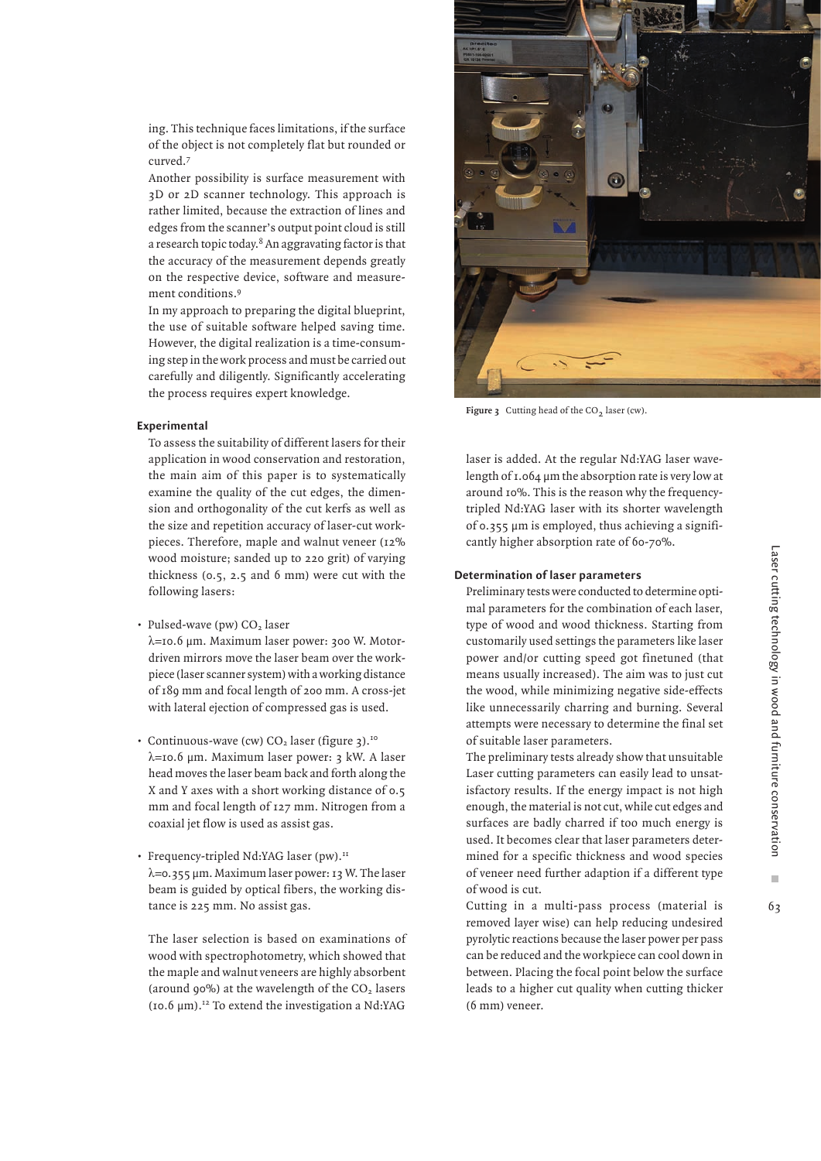ing. This technique faces limitations, if the surface of the object is not completely flat but rounded or curved.7

Another possibility is surface measurement with 3D or 2D scanner technology. This approach is rather limited, because the extraction of lines and edges from the scanner's output point cloud is still a research topic today. $8$  An aggravating factor is that the accuracy of the measurement depends greatly on the respective device, software and measurement conditions.9

In my approach to preparing the digital blueprint, the use of suitable software helped saving time. However, the digital realization is a time-consuming step in the work process and must be carried out carefully and diligently. Significantly accelerating the process requires expert knowledge.

#### **Experimental**

To assess the suitability of different lasers for their application in wood conservation and restoration, the main aim of this paper is to systematically examine the quality of the cut edges, the dimension and orthogonality of the cut kerfs as well as the size and repetition accuracy of laser-cut workpieces. Therefore, maple and walnut veneer (12% wood moisture; sanded up to 220 grit) of varying thickness (0.5, 2.5 and 6 mm) were cut with the following lasers:

• Pulsed-wave (pw)  $CO<sub>2</sub>$  laser

λ=10.6 µm. Maximum laser power: 300 W. Motordriven mirrors move the laser beam over the workpiece (laser scanner system) with a working distance of 189 mm and focal length of 200 mm. A cross-jet with lateral ejection of compressed gas is used.

- Continuous-wave (cw)  $CO<sub>2</sub>$  laser (figure 3).<sup>10</sup> λ=10.6 µm. Maximum laser power: 3 kW. A laser head moves the laser beam back and forth along the X and Y axes with a short working distance of 0.5 mm and focal length of 127 mm. Nitrogen from a coaxial jet flow is used as assist gas.
- Frequency-tripled Nd:YAG laser (pw).<sup>11</sup> λ=0.355 µm. Maximum laser power: 13 W. The laser beam is guided by optical fibers, the working distance is 225 mm. No assist gas.

The laser selection is based on examinations of wood with spectrophotometry, which showed that the maple and walnut veneers are highly absorbent (around 90%) at the wavelength of the  $CO<sub>2</sub>$  lasers  $(10.6 \text{ nm})$ .<sup>12</sup> To extend the investigation a Nd:YAG



Figure 3 Cutting head of the CO<sub>2</sub> laser (cw).

laser is added. At the regular Nd:YAG laser wavelength of 1.064 µm the absorption rate is very low at around 10%. This is the reason why the frequencytripled Nd:YAG laser with its shorter wavelength of 0.355 µm is employed, thus achieving a significantly higher absorption rate of 60-70%.

# **Determination of laser parameters**

Preliminary tests were conducted to determine optimal parameters for the combination of each laser, type of wood and wood thickness. Starting from customarily used settings the parameters like laser power and/or cutting speed got finetuned (that means usually increased). The aim was to just cut the wood, while minimizing negative side-effects like unnecessarily charring and burning. Several attempts were necessary to determine the final set of suitable laser parameters.

The preliminary tests already show that unsuitable Laser cutting parameters can easily lead to unsatisfactory results. If the energy impact is not high enough, the material is not cut, while cut edges and surfaces are badly charred if too much energy is used. It becomes clear that laser parameters determined for a specific thickness and wood species of veneer need further adaption if a different type of wood is cut.

Cutting in a multi-pass process (material is removed layer wise) can help reducing undesired pyrolytic reactions because the laser power per pass can be reduced and the workpiece can cool down in between. Placing the focal point below the surface leads to a higher cut quality when cutting thicker (6 mm) veneer.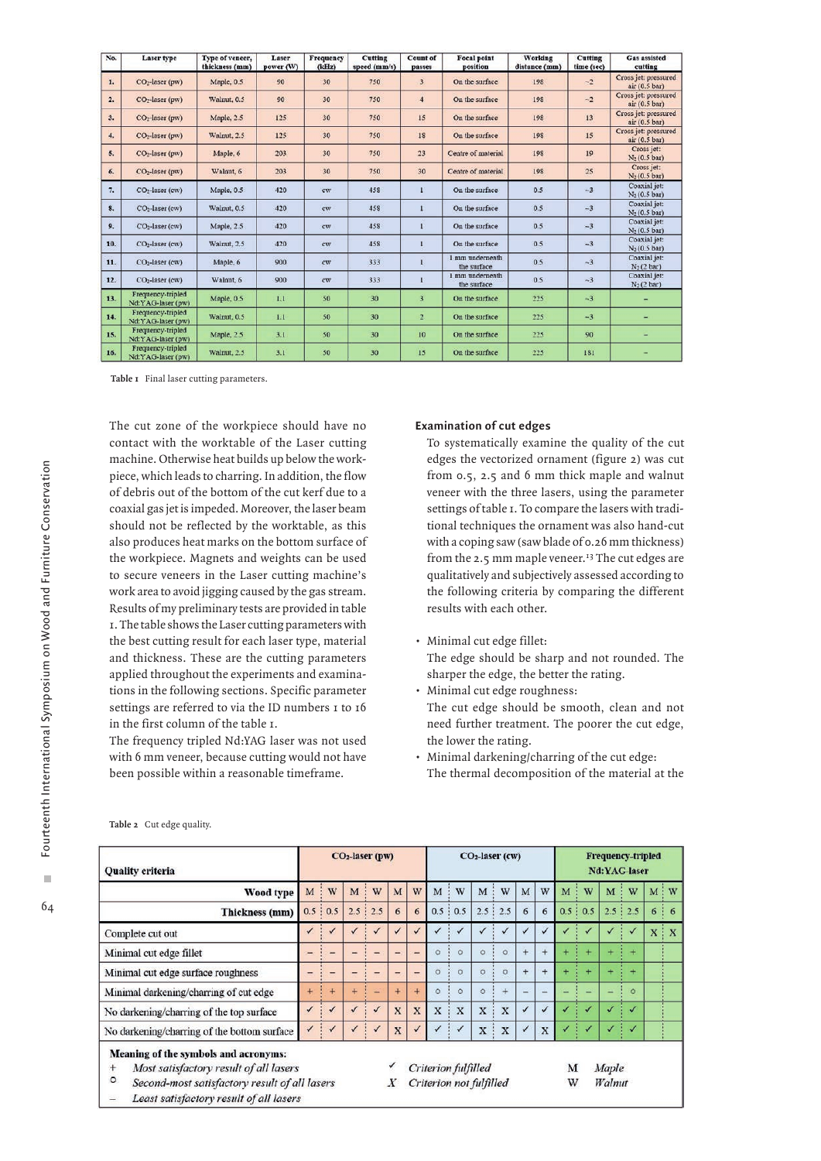| No. | <b>Laser</b> type                      | Type of veneer,<br>thickness (mm) | Laser<br>power (W) | Frequency<br>(kHz) | <b>Cutting</b><br>speed (mm/s) | <b>Count of</b><br>passes | <b>Focal point</b><br>position | <b>Working</b><br>distance (mm) | Cutting<br>time (sec) | <b>Gas assisted</b><br>cutting         |  |  |
|-----|----------------------------------------|-----------------------------------|--------------------|--------------------|--------------------------------|---------------------------|--------------------------------|---------------------------------|-----------------------|----------------------------------------|--|--|
| 1.  | CO <sub>2</sub> -laser (pw)            | Maple, 0.5                        | 90                 | 30                 | 750                            | $\overline{3}$            | On the surface                 | $-2$<br>198                     |                       | Cross jet: pressured<br>air(0.5 bar)   |  |  |
| 2.  | $CO2$ -laser (pw)                      | Walnut, 0.5                       | 90                 | 30                 | 750                            | $\overline{4}$            | On the surface                 | 198                             | $-2$                  | Cross jet: pressured<br>air(0.5 bar)   |  |  |
| 3.  | CO <sub>2</sub> -laser (pw)            | Maple, 2.5                        | 125                | 30                 | 750                            | 15                        | On the surface                 | 198                             | 13                    | Cross jet: pressured<br>air(0.5 bar)   |  |  |
| 4.  | CO <sub>2</sub> -laser (pw)            | Walnut, 2.5                       | 125                | 30                 | 750                            | 18                        | On the surface                 | 198                             | 15                    | Cross jet: pressured<br>air (0.5 bar)  |  |  |
| 5.  | CO <sub>2</sub> -laser (pw)            | Maple, 6                          | 203                | 30                 | 750                            | 23                        | Centre of material             | 198                             | 19                    | Cross jet:<br>$N_2(0.5 \text{ bar})$   |  |  |
| 6.  | CO <sub>2</sub> -laser (pw)            | Walnut, 6                         | 203                | 30                 | 750                            | 30                        | Centre of material             | 198                             | 25                    | Cross jet:<br>$N_2(0.5 \text{ bar})$   |  |  |
| 7.  | CO <sub>2</sub> -laser (cw)            | Maple, 0.5                        | 420                | cw                 | 458                            | $\mathbf{1}$              | On the surface                 | 0.5                             | $-3$                  | Coaxial jet:<br>$N_2(0.5 \text{ bar})$ |  |  |
| 8.  | CO <sub>2</sub> -laser (cw)            | Walnut, 0.5                       | 420                | cw                 | 458                            |                           | On the surface                 | 0.5                             | $-3$                  | Coaxial jet:<br>$N_2(0.5 \text{ bar})$ |  |  |
| 9.  | CO <sub>2</sub> -laser (cw)            | Maple, 2.5                        | 420                | cw                 | 458                            |                           | On the surface                 | 0.5                             | $-3$                  | Coaxial jet:<br>$N_2(0.5 \text{ bar})$ |  |  |
| 10. | CO <sub>2</sub> -laser (cw)            | Walnut, 2.5                       | 420                | cw                 | 458                            | $\bf{I}$                  | On the surface                 | 0.5                             | $-3$                  | Coaxial jet:<br>$N_2(0.5 \text{ bar})$ |  |  |
| 11. | CO <sub>2</sub> -laser (cw)            | Maple, 6                          | 900                | cw                 | 333                            |                           | 1 mm underneath<br>the surface | 0.5                             | $-3$                  | Coaxial jet:<br>$N_2(2 \text{ bar})$   |  |  |
| 12. | CO <sub>2</sub> -laser (cw)            | Walnut, 6                         | 900                | cw.                | 333                            | ı                         | 1 mm underneath<br>the surface | 0.5                             | $-3$                  | Coaxial jet:<br>$N_2(2 \text{ bar})$   |  |  |
| 13. | Frequency-tripled<br>Nd:YAG-laser (pw) | Maple, 0.5                        | 1.1                | 50                 | 30                             | $\overline{3}$            | On the surface                 | 225                             | $-3$                  |                                        |  |  |
| 14. | Frequency-tripled<br>Nd:YAG-laser (pw) | Walnut, 0.5                       | 1.1                | 50                 | 30                             | $\overline{2}$            | On the surface                 | 225                             | $-3$                  |                                        |  |  |
| 15. | Frequency-tripled<br>Nd:YAG-laser (pw) | Maple, 2.5                        | 3.1                | 50                 | 30                             | 10                        | On the surface                 | 225                             | 90                    |                                        |  |  |
| 16. | Frequency-tripled<br>Nd:YAG-laser (pw) | Walnut, 2.5                       | 3.1                | 50                 | 30                             | 15                        | On the surface                 | 225                             | 181                   |                                        |  |  |

**Table 1** Final laser cutting parameters.

The cut zone of the workpiece should have no contact with the worktable of the Laser cutting machine. Otherwise heat builds up below the workpiece, which leads to charring. In addition, the flow of debris out of the bottom of the cut kerf due to a coaxial gas jet is impeded. Moreover, the laser beam should not be reflected by the worktable, as this also produces heat marks on the bottom surface of the workpiece. Magnets and weights can be used to secure veneers in the Laser cutting machine's work area to avoid jigging caused by the gas stream. Results of my preliminary tests are provided in table 1. The table shows the Laser cutting parameters with the best cutting result for each laser type, material and thickness. These are the cutting parameters applied throughout the experiments and examinations in the following sections. Specific parameter settings are referred to via the ID numbers 1 to 16 in the first column of the table 1.

The frequency tripled Nd:YAG laser was not used with 6 mm veneer, because cutting would not have been possible within a reasonable timeframe.

### **Examination of cut edges**

To systematically examine the quality of the cut edges the vectorized ornament (figure 2) was cut from 0.5, 2.5 and 6 mm thick maple and walnut veneer with the three lasers, using the parameter settings of table 1. To compare the lasers with traditional techniques the ornament was also hand-cut with a coping saw (saw blade of 0.26 mm thickness) from the 2.5 mm maple veneer.<sup>13</sup> The cut edges are qualitatively and subjectively assessed according to the following criteria by comparing the different results with each other.

- Minimal cut edge fillet: The edge should be sharp and not rounded. The sharper the edge, the better the rating.
- Minimal cut edge roughness: The cut edge should be smooth, clean and not need further treatment. The poorer the cut edge, the lower the rating.
- Minimal darkening/charring of the cut edge: The thermal decomposition of the material at the

| <b>Quality criteria</b>                                                                                                                                                                                                     |   |         | CO <sub>2</sub> -laser (pw) |                |              |                          | CO <sub>2</sub> -laser (cw) |                         |                         |         | Frequency-tripled<br>Nd:YAG-laser |        |        |         |                 |                |       |                    |
|-----------------------------------------------------------------------------------------------------------------------------------------------------------------------------------------------------------------------------|---|---------|-----------------------------|----------------|--------------|--------------------------|-----------------------------|-------------------------|-------------------------|---------|-----------------------------------|--------|--------|---------|-----------------|----------------|-------|--------------------|
| Wood type                                                                                                                                                                                                                   | M | W       | M                           | W              | M            | W                        | M                           | W                       | M                       | W       | M                                 | W      | M      | W       | M               | W              | M     | $\cdot \mathbf{w}$ |
| Thickness (mm)                                                                                                                                                                                                              |   | 0.5:0.5 |                             | $2.5 \div 2.5$ | 6            | 6                        |                             | $0.5 \t{0.5}$           | 2.5                     | 2.5     | 6                                 | 6      |        | 0.5:0.5 |                 | $2.5 \div 2.5$ | 6     | 6                  |
| Complete cut out                                                                                                                                                                                                            |   |         |                             |                |              |                          |                             |                         |                         |         |                                   |        |        |         |                 |                | $X$ : | X                  |
| Minimal cut edge fillet                                                                                                                                                                                                     |   |         |                             |                |              | -                        | Ö                           | $\circ$                 | $\circ$                 | $\circ$ | $+$                               |        |        |         |                 | ÷              |       |                    |
| Minimal cut edge surface roughness                                                                                                                                                                                          |   |         |                             |                | -            | $\overline{\phantom{0}}$ | $\circ$                     | $\alpha$                | $\circ$                 | $\circ$ | $+$                               | $^{+}$ |        | $+$     |                 | $+$            |       |                    |
| Minimal darkening/charring of cut edge                                                                                                                                                                                      |   | $+$     | $+$                         |                | $+$          | $+$                      | $\circ$                     | $\circ$                 | $\circ$                 |         | $\equiv$                          |        |        |         |                 | $\circ$        |       |                    |
| No darkening/charring of the top surface                                                                                                                                                                                    |   |         |                             |                | $\mathbf{x}$ | X                        | $\mathbf{x}$                | $\overline{\mathbf{x}}$ | $\overline{\mathbf{x}}$ | X       | $\checkmark$                      | ✓      |        |         |                 | $\sqrt{2}$     |       |                    |
| No darkening/charring of the bottom surface                                                                                                                                                                                 |   |         |                             | ✓              | X            |                          |                             | ✓                       | X                       | X       | ✓                                 | X      |        | ✓       |                 | ✓              |       |                    |
| Meaning of the symbols and acronyms:<br>Most satisfactory result of all lasers<br>$^{+}$<br>$\circ$<br>Second-most satisfactory result of all lasers<br>Least satisfactory result of all lasers<br>$\overline{\phantom{0}}$ |   |         |                             |                |              |                          |                             | Criterion fulfilled     | Criterion not fulfilled |         |                                   |        | M<br>W |         | Maple<br>Walnut |                |       |                    |

**Table 2** Cut edge quality.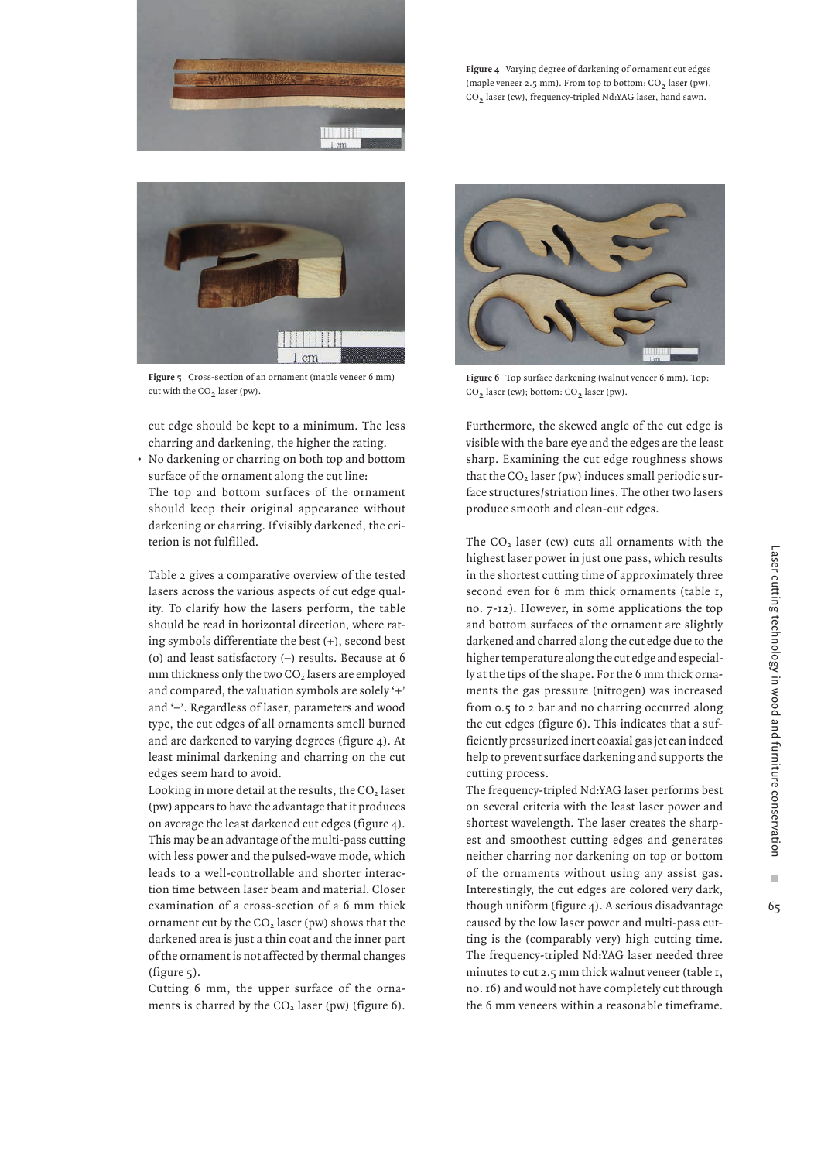

**Figure 4** Varying degree of darkening of ornament cut edges (maple veneer  $2.5$  mm). From top to bottom:  $CO<sub>2</sub>$  laser (pw), CO<sub>2</sub> laser (cw), frequency-tripled Nd:YAG laser, hand sawn.



**Figure 5** Cross-section of an ornament (maple veneer 6 mm) cut with the CO<sub>2</sub> laser (pw).

cut edge should be kept to a minimum. The less charring and darkening, the higher the rating.

• No darkening or charring on both top and bottom surface of the ornament along the cut line: The top and bottom surfaces of the ornament should keep their original appearance without darkening or charring. If visibly darkened, the criterion is not fulfilled.

Table 2 gives a comparative overview of the tested lasers across the various aspects of cut edge quality. To clarify how the lasers perform, the table should be read in horizontal direction, where rating symbols differentiate the best (+), second best (o) and least satisfactory (–) results. Because at 6 mm thickness only the two CO<sub>2</sub> lasers are employed and compared, the valuation symbols are solely '+' and '–'. Regardless of laser, parameters and wood type, the cut edges of all ornaments smell burned and are darkened to varying degrees (figure 4). At least minimal darkening and charring on the cut edges seem hard to avoid.

Looking in more detail at the results, the  $CO<sub>2</sub>$  laser (pw) appears to have the advantage that it produces on average the least darkened cut edges (figure 4). This may be an advantage of the multi-pass cutting with less power and the pulsed-wave mode, which leads to a well-controllable and shorter interaction time between laser beam and material. Closer examination of a cross-section of a 6 mm thick ornament cut by the  $CO<sub>2</sub>$  laser (pw) shows that the darkened area is just a thin coat and the inner part of the ornament is not affected by thermal changes (figure 5).

Cutting 6 mm, the upper surface of the ornaments is charred by the  $CO<sub>2</sub>$  laser (pw) (figure 6).



**Figure 6** Top surface darkening (walnut veneer 6 mm). Top: CO<sub>2</sub> laser (cw); bottom: CO<sub>2</sub> laser (pw).

Furthermore, the skewed angle of the cut edge is visible with the bare eye and the edges are the least sharp. Examining the cut edge roughness shows that the  $CO<sub>2</sub>$  laser (pw) induces small periodic surface structures/striation lines. The other two lasers produce smooth and clean-cut edges.

The CO<sub>2</sub> laser (cw) cuts all ornaments with the highest laser power in just one pass, which results in the shortest cutting time of approximately three second even for 6 mm thick ornaments (table 1, no. 7-12). However, in some applications the top and bottom surfaces of the ornament are slightly darkened and charred along the cut edge due to the higher temperature along the cut edge and especially at the tips of the shape. For the 6 mm thick ornaments the gas pressure (nitrogen) was increased from 0.5 to 2 bar and no charring occurred along the cut edges (figure 6). This indicates that a sufficiently pressurized inert coaxial gas jet can indeed help to prevent surface darkening and supports the cutting process.

The frequency-tripled Nd:YAG laser performs best on several criteria with the least laser power and shortest wavelength. The laser creates the sharpest and smoothest cutting edges and generates neither charring nor darkening on top or bottom of the ornaments without using any assist gas. Interestingly, the cut edges are colored very dark, though uniform (figure 4). A serious disadvantage caused by the low laser power and multi-pass cutting is the (comparably very) high cutting time. The frequency-tripled Nd:YAG laser needed three minutes to cut 2.5 mm thick walnut veneer (table 1, no. 16) and would not have completely cut through the 6 mm veneers within a reasonable timeframe.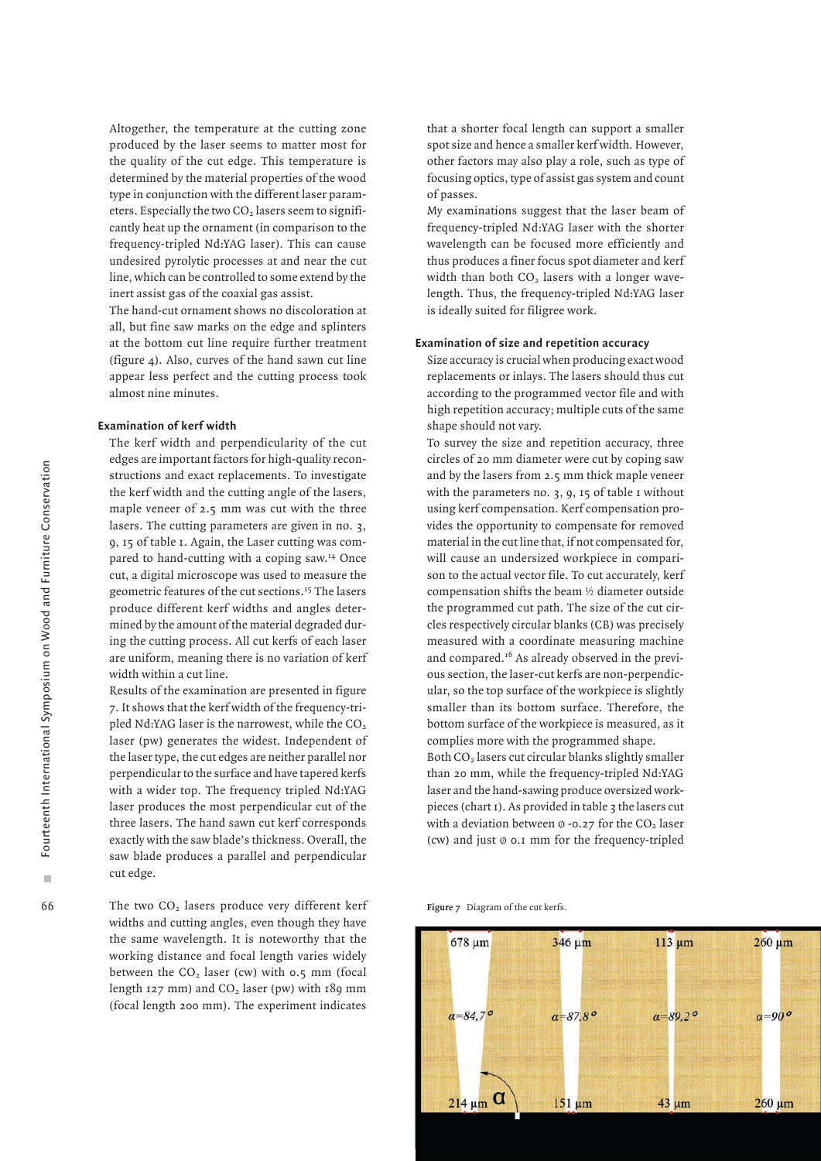Altogether, the temperature at the cutting zone produced by the laser seems to matter most for the quality of the cut edge. This temperature is determined by the material properties of the wood type in conjunction with the different laser parameters. Especially the two  $CO<sub>2</sub>$  lasers seem to significantly heat up the ornament (in comparison to the frequency-tripled Nd:YAG laser). This can cause undesired pyrolytic processes at and near the cut line, which can be controlled to some extend by the inert assist gas of the coaxial gas assist.

The hand-cut ornament shows no discoloration at all, but fine saw marks on the edge and splinters at the bottom cut line require further treatment (figure 4). Also, curves of the hand sawn cut line appear less perfect and the cutting process took almost nine minutes.

### **Examination of kerf width**

The kerf width and perpendicularity of the cut edges are important factors for high-quality reconstructions and exact replacements. To investigate the kerf width and the cutting angle of the lasers, maple veneer of 2.5 mm was cut with the three lasers. The cutting parameters are given in no. 3, 9, 15 of table 1. Again, the Laser cutting was compared to hand-cutting with a coping saw.14 Once cut, a digital microscope was used to measure the geometric features of the cut sections.15 The lasers produce different kerf widths and angles determined by the amount of the material degraded during the cutting process. All cut kerfs of each laser are uniform, meaning there is no variation of kerf width within a cut line.

Results of the examination are presented in figure 7. It shows that the kerf width of the frequency-tripled Nd:YAG laser is the narrowest, while the  $CO<sub>2</sub>$ laser (pw) generates the widest. Independent of the laser type, the cut edges are neither parallel nor perpendicular to the surface and have tapered kerfs with a wider top. The frequency tripled Nd:YAG laser produces the most perpendicular cut of the three lasers. The hand sawn cut kerf corresponds exactly with the saw blade's thickness. Overall, the saw blade produces a parallel and perpendicular cut edge.

The two CO<sub>2</sub> lasers produce very different kerf widths and cutting angles, even though they have the same wavelength. It is noteworthy that the working distance and focal length varies widely between the  $CO<sub>2</sub>$  laser (cw) with 0.5 mm (focal length  $127 \text{ mm}$ ) and  $CO<sub>2</sub>$  laser (pw) with  $189 \text{ mm}$ (focal length 200 mm). The experiment indicates

that a shorter focal length can support a smaller spot size and hence a smaller kerf width. However, other factors may also play a role, such as type of focusing optics, type of assist gas system and count of passes.

My examinations suggest that the laser beam of frequency-tripled Nd:YAG laser with the shorter wavelength can be focused more efficiently and thus produces a finer focus spot diameter and kerf width than both  $CO<sub>2</sub>$  lasers with a longer wavelength. Thus, the frequency-tripled Nd:YAG laser is ideally suited for filigree work.

# **Examination of size and repetition accuracy**

Size accuracy is crucial when producing exact wood replacements or inlays. The lasers should thus cut according to the programmed vector file and with high repetition accuracy; multiple cuts of the same shape should not vary.

To survey the size and repetition accuracy, three circles of 20 mm diameter were cut by coping saw and by the lasers from 2.5 mm thick maple veneer with the parameters no.  $3, 9, 15$  of table 1 without using kerf compensation. Kerf compensation provides the opportunity to compensate for removed material in the cut line that, if not compensated for, will cause an undersized workpiece in comparison to the actual vector file. To cut accurately, kerf compensation shifts the beam ½ diameter outside the programmed cut path. The size of the cut circles respectively circular blanks (CB) was precisely measured with a coordinate measuring machine and compared.16 As already observed in the previous section, the laser-cut kerfs are non-perpendicular, so the top surface of the workpiece is slightly smaller than its bottom surface. Therefore, the bottom surface of the workpiece is measured, as it complies more with the programmed shape. Both CO2 lasers cut circular blanks slightly smaller than 20 mm, while the frequency-tripled Nd:YAG

laser and the hand-sawing produce oversized workpieces (chart 1). As provided in table 3 the lasers cut with a deviation between  $\phi$  -0.27 for the CO<sub>2</sub> laser (cw) and just  $\phi$  0.1 mm for the frequency-tripled

**Figure 7** Diagram of the cut kerfs.

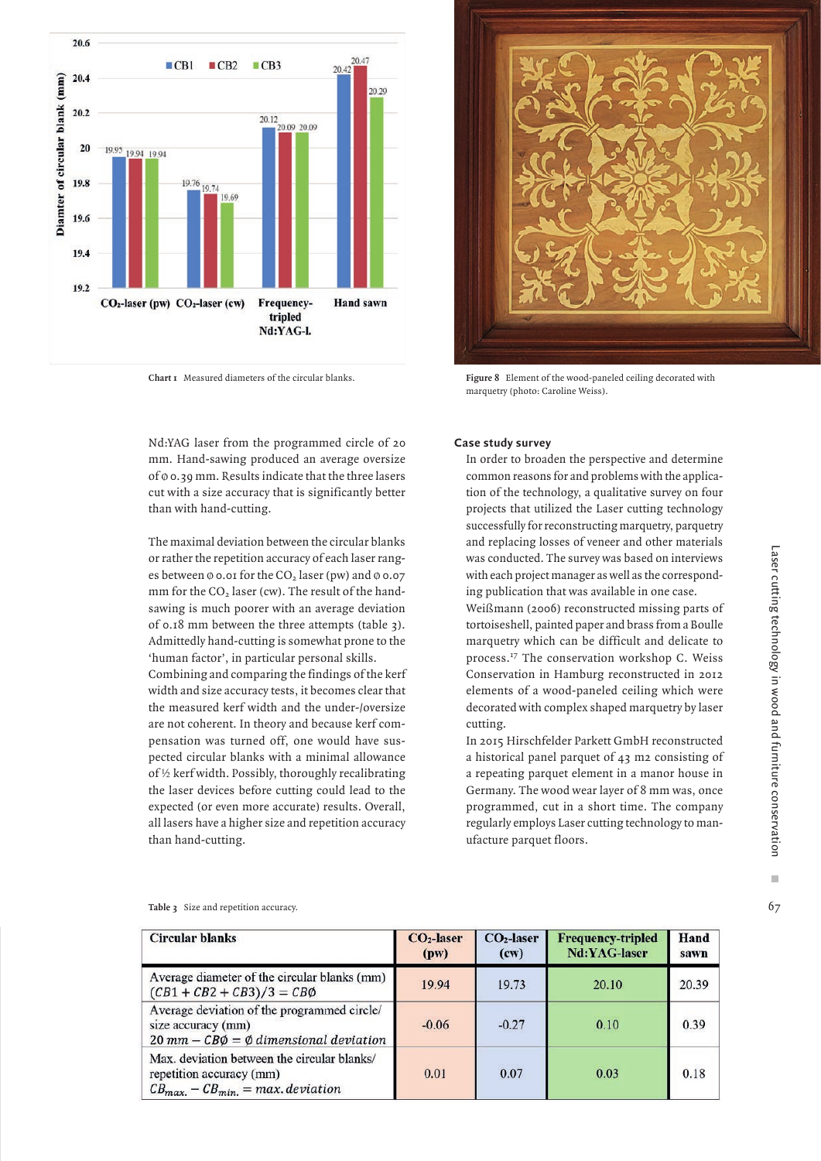

**Chart 1** Measured diameters of the circular blanks.



**Figure 8** Element of the wood-paneled ceiling decorated with marquetry (photo: Caroline Weiss).

Nd:YAG laser from the programmed circle of 20 mm. Hand-sawing produced an average oversize of Ø 0.39 mm. Results indicate that the three lasers cut with a size accuracy that is significantly better than with hand-cutting.

The maximal deviation between the circular blanks or rather the repetition accuracy of each laser ranges between  $\phi$  0.01 for the CO<sub>2</sub> laser (pw) and  $\phi$  0.07 mm for the  $CO<sub>2</sub>$  laser (cw). The result of the handsawing is much poorer with an average deviation of 0.18 mm between the three attempts (table 3). Admittedly hand-cutting is somewhat prone to the 'human factor', in particular personal skills. Combining and comparing the findings of the kerf

width and size accuracy tests, it becomes clear that the measured kerf width and the under-/oversize are not coherent. In theory and because kerf compensation was turned off, one would have suspected circular blanks with a minimal allowance of ½ kerf width. Possibly, thoroughly recalibrating the laser devices before cutting could lead to the expected (or even more accurate) results. Overall, all lasers have a higher size and repetition accuracy than hand-cutting.

### **Case study survey**

In order to broaden the perspective and determine common reasons for and problems with the application of the technology, a qualitative survey on four projects that utilized the Laser cutting technology successfully for reconstructing marquetry, parquetry and replacing losses of veneer and other materials was conducted. The survey was based on interviews with each project manager as well as the corresponding publication that was available in one case.

Weißmann (2006) reconstructed missing parts of tortoiseshell, painted paper and brass from a Boulle marquetry which can be difficult and delicate to process.17 The conservation workshop C. Weiss Conservation in Hamburg reconstructed in 2012 elements of a wood-paneled ceiling which were decorated with complex shaped marquetry by laser cutting.

In 2015 Hirschfelder Parkett GmbH reconstructed a historical panel parquet of 43 m2 consisting of a repeating parquet element in a manor house in Germany. The wood wear layer of 8 mm was, once programmed, cut in a short time. The company regularly employs Laser cutting technology to manufacture parquet floors.

**Table 3** Size and repetition accuracy.

| <b>Circular blanks</b>                                                                                                         | $CO2$ -laser<br>(pw) | $CO2$ -laser<br>(cw) | <b>Frequency-tripled</b><br>Nd:YAG-laser | Hand<br>sawn |
|--------------------------------------------------------------------------------------------------------------------------------|----------------------|----------------------|------------------------------------------|--------------|
| Average diameter of the circular blanks (mm)<br>$(CB1 + CB2 + CB3)/3 = CB\emptyset$                                            | 19.94                | 19.73                | 20.10                                    | 20.39        |
| Average deviation of the programmed circle/<br>size accuracy (mm)<br>$20$ mm – $CB\emptyset = \emptyset$ dimensional deviation | $-0.06$              | $-0.27$              | 0.10                                     | 0.39         |
| Max, deviation between the circular blanks/<br>repetition accuracy (mm)<br>$CB_{max.} - CB_{min.} = max. deviation$            | 0.01                 | 0.07                 | 0.03                                     | 0.18         |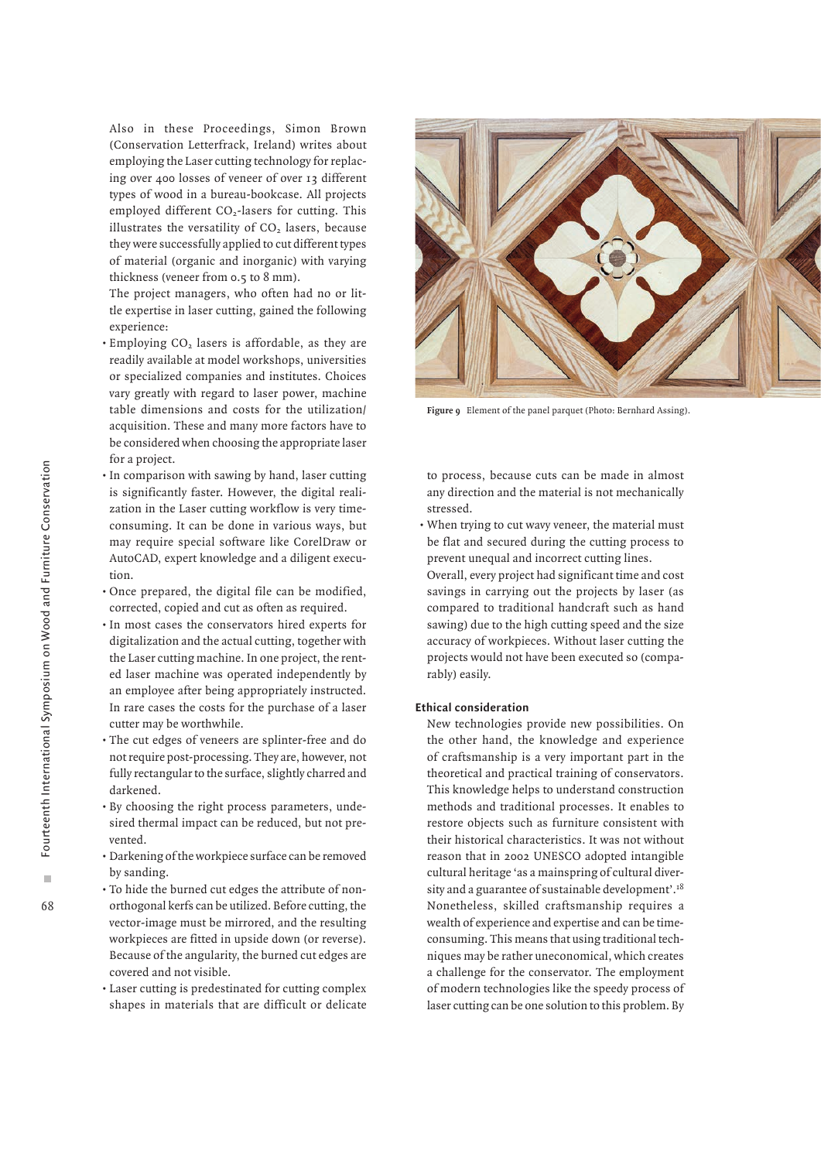Also in these Proceedings, Simon Brown (Conservation Letterfrack, Ireland) writes about employing the Laser cutting technology for replacing over 400 losses of veneer of over 13 different types of wood in a bureau-bookcase. All projects employed different CO<sub>2</sub>-lasers for cutting. This illustrates the versatility of  $CO<sub>2</sub>$  lasers, because they were successfully applied to cut different types of material (organic and inorganic) with varying thickness (veneer from 0.5 to 8 mm).

The project managers, who often had no or little expertise in laser cutting, gained the following experience:

- $\cdot$  Employing CO<sub>2</sub> lasers is affordable, as they are readily available at model workshops, universities or specialized companies and institutes. Choices vary greatly with regard to laser power, machine table dimensions and costs for the utilization/ acquisition. These and many more factors have to be considered when choosing the appropriate laser for a project.
- In comparison with sawing by hand, laser cutting is significantly faster. However, the digital realization in the Laser cutting workflow is very timeconsuming. It can be done in various ways, but may require special software like CorelDraw or AutoCAD, expert knowledge and a diligent execution.
- Once prepared, the digital file can be modified, corrected, copied and cut as often as required.
- In most cases the conservators hired experts for digitalization and the actual cutting, together with the Laser cutting machine. In one project, the rented laser machine was operated independently by an employee after being appropriately instructed. In rare cases the costs for the purchase of a laser cutter may be worthwhile.
- The cut edges of veneers are splinter-free and do not require post-processing. They are, however, not fully rectangular to the surface, slightly charred and darkened.
- By choosing the right process parameters, undesired thermal impact can be reduced, but not prevented.
- Darkening of the workpiece surface can be removed by sanding.
- To hide the burned cut edges the attribute of nonorthogonal kerfs can be utilized. Before cutting, the vector-image must be mirrored, and the resulting workpieces are fitted in upside down (or reverse). Because of the angularity, the burned cut edges are covered and not visible.
- Laser cutting is predestinated for cutting complex shapes in materials that are difficult or delicate



**Figure 9** Element of the panel parquet (Photo: Bernhard Assing).

to process, because cuts can be made in almost any direction and the material is not mechanically stressed.

- When trying to cut wavy veneer, the material must be flat and secured during the cutting process to prevent unequal and incorrect cutting lines.
- Overall, every project had significant time and cost savings in carrying out the projects by laser (as compared to traditional handcraft such as hand sawing) due to the high cutting speed and the size accuracy of workpieces. Without laser cutting the projects would not have been executed so (comparably) easily.

# **Ethical consideration**

New technologies provide new possibilities. On the other hand, the knowledge and experience of craftsmanship is a very important part in the theoretical and practical training of conservators. This knowledge helps to understand construction methods and traditional processes. It enables to restore objects such as furniture consistent with their historical characteristics. It was not without reason that in 2002 UNESCO adopted intangible cultural heritage 'as a mainspring of cultural diversity and a guarantee of sustainable development'.18 Nonetheless, skilled craftsmanship requires a wealth of experience and expertise and can be timeconsuming. This means that using traditional techniques may be rather uneconomical, which creates a challenge for the conservator. The employment of modern technologies like the speedy process of laser cutting can be one solution to this problem. By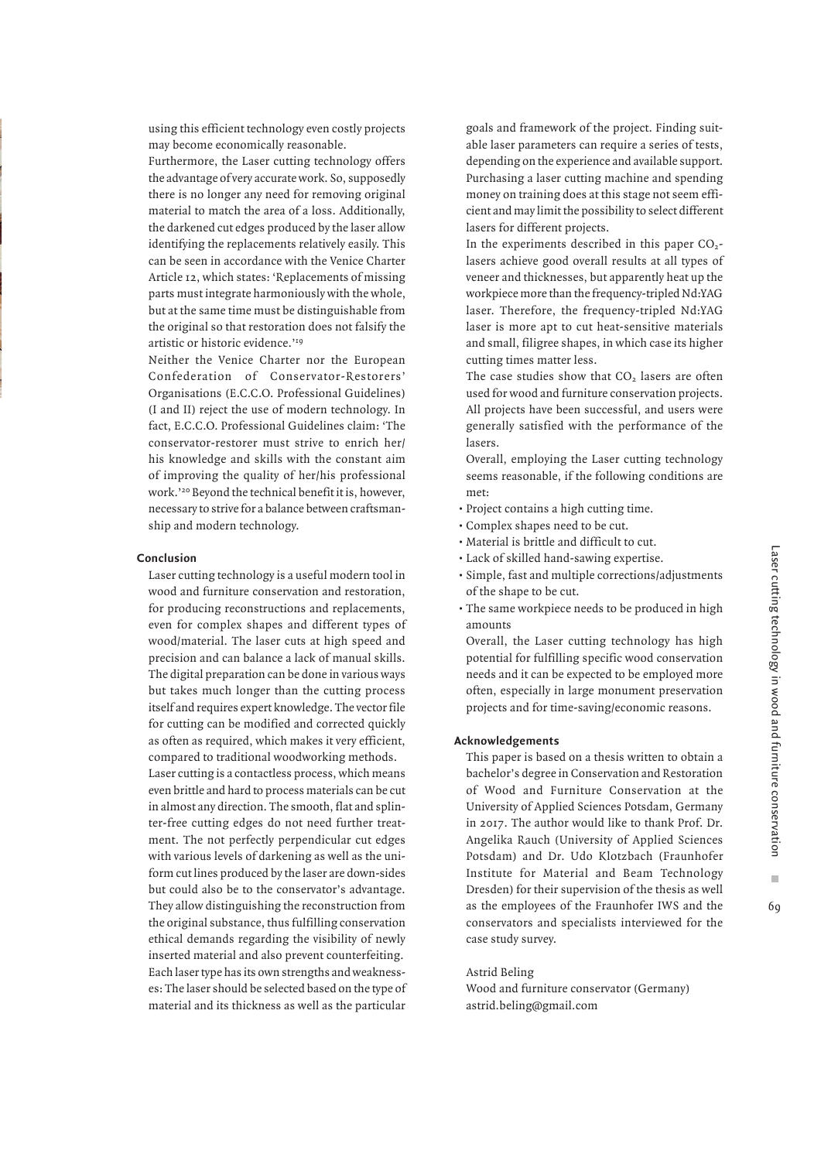using this efficient technology even costly projects may become economically reasonable.

Furthermore, the Laser cutting technology offers the advantage of very accurate work. So, supposedly there is no longer any need for removing original material to match the area of a loss. Additionally, the darkened cut edges produced by the laser allow identifying the replacements relatively easily. This can be seen in accordance with the Venice Charter Article 12, which states: 'Replacements of missing parts must integrate harmoniously with the whole, but at the same time must be distinguishable from the original so that restoration does not falsify the artistic or historic evidence.'19

Neither the Venice Charter nor the European Confederation of Conservator-Restorers' Organisations (E.C.C.O. Professional Guidelines) (I and II) reject the use of modern technology. In fact, E.C.C.O. Professional Guidelines claim: 'The conservator-restorer must strive to enrich her/ his knowledge and skills with the constant aim of improving the quality of her/his professional work.'20 Beyond the technical benefit it is, however, necessary to strive for a balance between craftsmanship and modern technology.

### **Conclusion**

Laser cutting technology is a useful modern tool in wood and furniture conservation and restoration, for producing reconstructions and replacements, even for complex shapes and different types of wood/material. The laser cuts at high speed and precision and can balance a lack of manual skills. The digital preparation can be done in various ways but takes much longer than the cutting process itself and requires expert knowledge. The vector file for cutting can be modified and corrected quickly as often as required, which makes it very efficient, compared to traditional woodworking methods. Laser cutting is a contactless process, which means even brittle and hard to process materials can be cut in almost any direction. The smooth, flat and splinter-free cutting edges do not need further treatment. The not perfectly perpendicular cut edges with various levels of darkening as well as the uniform cut lines produced by the laser are down-sides but could also be to the conservator's advantage. They allow distinguishing the reconstruction from the original substance, thus fulfilling conservation ethical demands regarding the visibility of newly inserted material and also prevent counterfeiting. Each laser type has its own strengths and weaknesses: The laser should be selected based on the type of material and its thickness as well as the particular

goals and framework of the project. Finding suitable laser parameters can require a series of tests, depending on the experience and available support. Purchasing a laser cutting machine and spending money on training does at this stage not seem efficient and may limit the possibility to select different lasers for different projects.

In the experiments described in this paper  $CO<sub>2</sub>$ lasers achieve good overall results at all types of veneer and thicknesses, but apparently heat up the workpiece more than the frequency-tripled Nd:YAG laser. Therefore, the frequency-tripled Nd:YAG laser is more apt to cut heat-sensitive materials and small, filigree shapes, in which case its higher cutting times matter less.

The case studies show that CO<sub>2</sub> lasers are often used for wood and furniture conservation projects. All projects have been successful, and users were generally satisfied with the performance of the lasers.

Overall, employing the Laser cutting technology seems reasonable, if the following conditions are met:

- Project contains a high cutting time.
- Complex shapes need to be cut.
- Material is brittle and difficult to cut.
- Lack of skilled hand-sawing expertise.
- Simple, fast and multiple corrections/adjustments of the shape to be cut.
- The same workpiece needs to be produced in high amounts

Overall, the Laser cutting technology has high potential for fulfilling specific wood conservation needs and it can be expected to be employed more often, especially in large monument preservation projects and for time-saving/economic reasons.

### **Acknowledgements**

This paper is based on a thesis written to obtain a bachelor's degree in Conservation and Restoration of Wood and Furniture Conservation at the University of Applied Sciences Potsdam, Germany in 2017. The author would like to thank Prof. Dr. Angelika Rauch (University of Applied Sciences Potsdam) and Dr. Udo Klotzbach (Fraunhofer Institute for Material and Beam Technology Dresden) for their supervision of the thesis as well as the employees of the Fraunhofer IWS and the conservators and specialists interviewed for the case study survey.

Astrid Beling

Wood and furniture conservator (Germany) astrid.beling@gmail.com